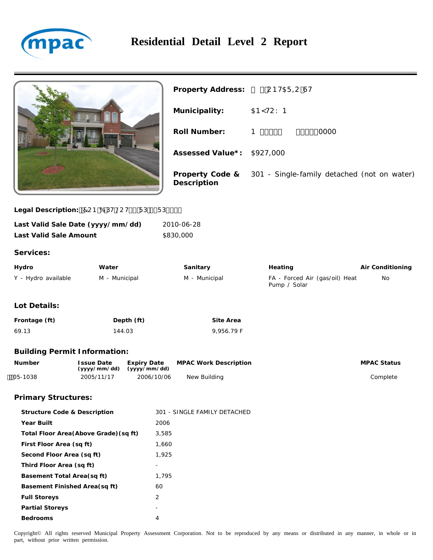



| Property Address: ‰'CBH5F=CGH |                                                             |
|-------------------------------|-------------------------------------------------------------|
| Municipality:                 | <b>5BMHCKB</b>                                              |
| Roll Number:                  | 1&' (%%%&&&' ' ' \$\$0000                                   |
| Assessed Value*: \$927,000    |                                                             |
| Description                   | Property Code & 301 - Single-family detached (not on water) |

Legal Description: "7CB 6 DH @CH- - FD---FD----

| Last Valid Sale Date (yyyy/mm/dd)<br>Last Valid Sale Amount |                                   |                                    | 2010-06-28<br>\$830,000      |                                                |                    |
|-------------------------------------------------------------|-----------------------------------|------------------------------------|------------------------------|------------------------------------------------|--------------------|
| Services:                                                   |                                   |                                    |                              |                                                |                    |
| Hydro                                                       | Water                             |                                    | Sanitary                     | Heating                                        | Air Conditioning   |
| Y - Hydro available                                         | M - Municipal                     |                                    | M - Municipal                | FA - Forced Air (gas/oil) Heat<br>Pump / Solar | No                 |
| Lot Details:                                                |                                   |                                    |                              |                                                |                    |
| Frontage (ft)                                               |                                   | Depth (ft)                         | Site Area                    |                                                |                    |
| 69.13                                                       |                                   | 144.03                             | 9,956.79 F                   |                                                |                    |
| <b>Building Permit Information:</b>                         |                                   |                                    |                              |                                                |                    |
| Number                                                      | <b>Issue Date</b><br>(yyyy/mm/dd) | <b>Expiry Date</b><br>(yyyy/mm/dd) | <b>MPAC Work Description</b> |                                                | <b>MPAC Status</b> |
| $05-1038$                                                   | 2005/11/17                        | 2006/10/06                         | New Building                 |                                                | Complete           |

## **Primary Structures:**

| Structure Code & Description           | 301 - SINGLE FAMILY DETACHED |  |
|----------------------------------------|------------------------------|--|
| Year Built                             | 2006                         |  |
| Total Floor Area (Above Grade) (sq ft) | 3,585                        |  |
| First Floor Area (sq ft)               | 1,660                        |  |
| Second Floor Area (sq ft)              | 1,925                        |  |
| Third Floor Area (sq ft)               |                              |  |
| Basement Total Area (sq ft)            | 1.795                        |  |
| Basement Finished Area (sq ft)         | 60                           |  |
| <b>Full Storeys</b>                    | 2                            |  |
| <b>Partial Storeys</b>                 |                              |  |
| <b>Bedrooms</b>                        | 4                            |  |